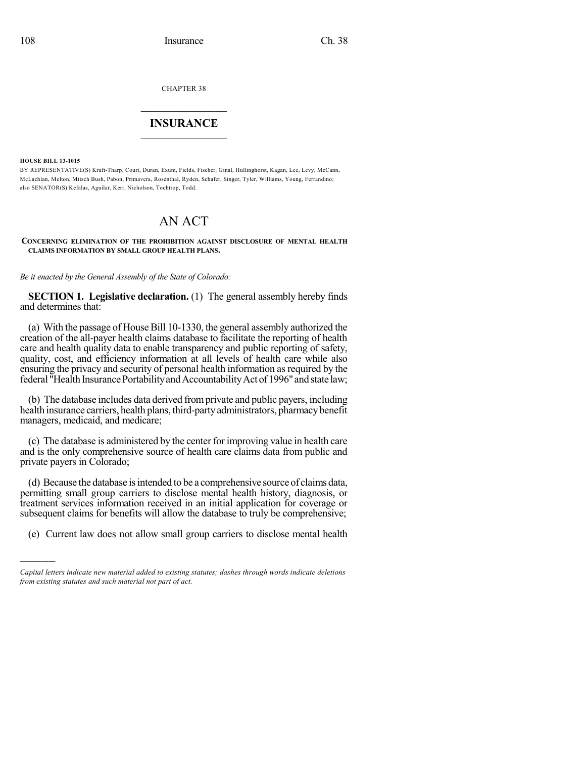CHAPTER 38

## $\overline{\phantom{a}}$  . The set of the set of the set of the set of the set of the set of the set of the set of the set of the set of the set of the set of the set of the set of the set of the set of the set of the set of the set o **INSURANCE**  $\frac{1}{2}$  ,  $\frac{1}{2}$  ,  $\frac{1}{2}$  ,  $\frac{1}{2}$  ,  $\frac{1}{2}$  ,  $\frac{1}{2}$  ,  $\frac{1}{2}$

**HOUSE BILL 13-1015**

)))))

BY REPRESENTATIVE(S) Kraft-Tharp, Court, Duran, Exum, Fields, Fischer, Ginal, Hullinghorst, Kagan, Lee, Levy, McCann, McLachlan, Melton, Mitsch Bush, Pabon, Primavera, Rosenthal, Ryden, Schafer, Singer, Tyler, Williams, Young, Ferrandino; also SENATOR(S) Kefalas, Aguilar, Kerr, Nicholson, Tochtrop, Todd.

## AN ACT

## **CONCERNING ELIMINATION OF THE PROHIBITION AGAINST DISCLOSURE OF MENTAL HEALTH CLAIMS INFORMATION BY SMALL GROUP HEALTH PLANS.**

*Be it enacted by the General Assembly of the State of Colorado:*

**SECTION 1. Legislative declaration.** (1) The general assembly hereby finds and determines that:

(a) With the passage of House Bill 10-1330, the general assembly authorized the creation of the all-payer health claims database to facilitate the reporting of health care and health quality data to enable transparency and public reporting of safety, quality, cost, and efficiency information at all levels of health care while also ensuring the privacy and security of personal health information as required by the federal "Health Insurance Portability and Accountability Act of 1996" and state law;

(b) The database includes data derived fromprivate and public payers, including health insurance carriers, health plans, third-party administrators, pharmacybenefit managers, medicaid, and medicare;

(c) The database is administered by the center for improving value in health care and is the only comprehensive source of health care claims data from public and private payers in Colorado;

(d) Because the database isintended to be a comprehensive source of claims data, permitting small group carriers to disclose mental health history, diagnosis, or treatment services information received in an initial application for coverage or subsequent claims for benefits will allow the database to truly be comprehensive;

(e) Current law does not allow small group carriers to disclose mental health

*Capital letters indicate new material added to existing statutes; dashes through words indicate deletions from existing statutes and such material not part of act.*